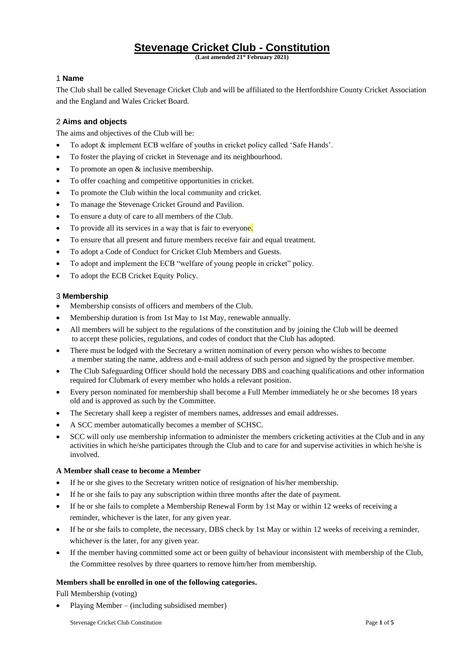# **Stevenage Cricket Club - Constitution**

**(Last amended 21st February 2021)**

#### 1 **Name**

The Club shall be called Stevenage Cricket Club and will be affiliated to the Hertfordshire County Cricket Association and the England and Wales Cricket Board.

## 2 **Aims and objects**

The aims and objectives of the Club will be:

- To adopt & implement ECB welfare of youths in cricket policy called 'Safe Hands'.
- To foster the playing of cricket in Stevenage and its neighbourhood.
- To promote an open  $&$  inclusive membership.
- To offer coaching and competitive opportunities in cricket.
- To promote the Club within the local community and cricket.
- To manage the Stevenage Cricket Ground and Pavilion.
- To ensure a duty of care to all members of the Club.
- To provide all its services in a way that is fair to everyone.
- To ensure that all present and future members receive fair and equal treatment.
- To adopt a Code of Conduct for Cricket Club Members and Guests.
- To adopt and implement the ECB "welfare of young people in cricket" policy.
- To adopt the ECB Cricket Equity Policy.

#### 3 **Membership**

- Membership consists of officers and members of the Club.
- Membership duration is from 1st May to 1st May, renewable annually.
- All members will be subject to the regulations of the constitution and by joining the Club will be deemed to accept these policies, regulations, and codes of conduct that the Club has adopted.
- There must be lodged with the Secretary a written nomination of every person who wishes to become a member stating the name, address and e-mail address of such person and signed by the prospective member.
- The Club Safeguarding Officer should hold the necessary DBS and coaching qualifications and other information required for Clubmark of every member who holds a relevant position.
- Every person nominated for membership shall become a Full Member immediately he or she becomes 18 years old and is approved as such by the Committee.
- The Secretary shall keep a register of members names, addresses and email addresses.
- A SCC member automatically becomes a member of SCHSC.
- SCC will only use membership information to administer the members cricketing activities at the Club and in any activities in which he/she participates through the Club and to care for and supervise activities in which he/she is involved.

#### **A Member shall cease to become a Member**

- If he or she gives to the Secretary written notice of resignation of his/her membership.
- If he or she fails to pay any subscription within three months after the date of payment.
- If he or she fails to complete a Membership Renewal Form by 1st May or within 12 weeks of receiving a reminder, whichever is the later, for any given year.
- If he or she fails to complete, the necessary, DBS check by 1st May or within 12 weeks of receiving a reminder, whichever is the later, for any given year.
- If the member having committed some act or been guilty of behaviour inconsistent with membership of the Club, the Committee resolves by three quarters to remove him/her from membership.

#### **Members shall be enrolled in one of the following categories.**

Full Membership (voting)

• Playing Member – (including subsidised member)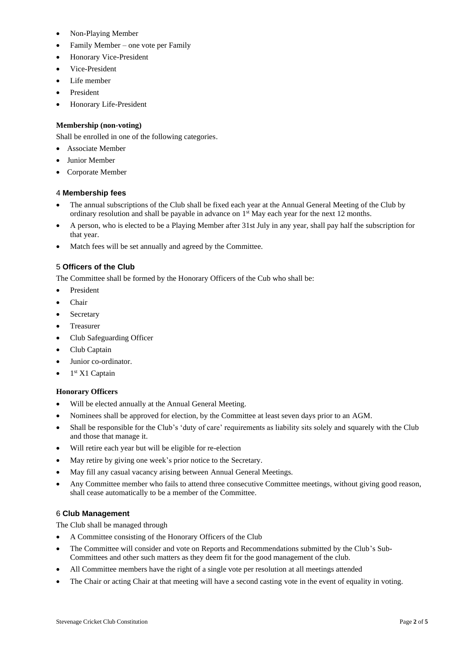- Non-Playing Member
- Family Member one vote per Family
- Honorary Vice-President
- Vice-President
- Life member
- **President**
- Honorary Life-President

## **Membership (non-voting)**

Shall be enrolled in one of the following categories.

- Associate Member
- **Iunior Member**
- Corporate Member

## 4 **Membership fees**

- The annual subscriptions of the Club shall be fixed each year at the Annual General Meeting of the Club by ordinary resolution and shall be payable in advance on 1<sup>st</sup> May each year for the next 12 months.
- A person, who is elected to be a Playing Member after 31st July in any year, shall pay half the subscription for that year.
- Match fees will be set annually and agreed by the Committee.

# 5 **Officers of the Club**

The Committee shall be formed by the Honorary Officers of the Cub who shall be:

- **President**
- Chair
- **Secretary**
- **Treasurer**
- Club Safeguarding Officer
- Club Captain
- Junior co-ordinator.
- $\bullet$  1<sup>st</sup> X1 Captain

#### **Honorary Officers**

- Will be elected annually at the Annual General Meeting.
- Nominees shall be approved for election, by the Committee at least seven days prior to an AGM.
- Shall be responsible for the Club's 'duty of care' requirements as liability sits solely and squarely with the Club and those that manage it.
- Will retire each year but will be eligible for re-election
- May retire by giving one week's prior notice to the Secretary.
- May fill any casual vacancy arising between Annual General Meetings.
- Any Committee member who fails to attend three consecutive Committee meetings, without giving good reason, shall cease automatically to be a member of the Committee.

# 6 **Club Management**

The Club shall be managed through

- A Committee consisting of the Honorary Officers of the Club
- The Committee will consider and vote on Reports and Recommendations submitted by the Club's Sub-Committees and other such matters as they deem fit for the good management of the club.
- All Committee members have the right of a single vote per resolution at all meetings attended
- The Chair or acting Chair at that meeting will have a second casting vote in the event of equality in voting.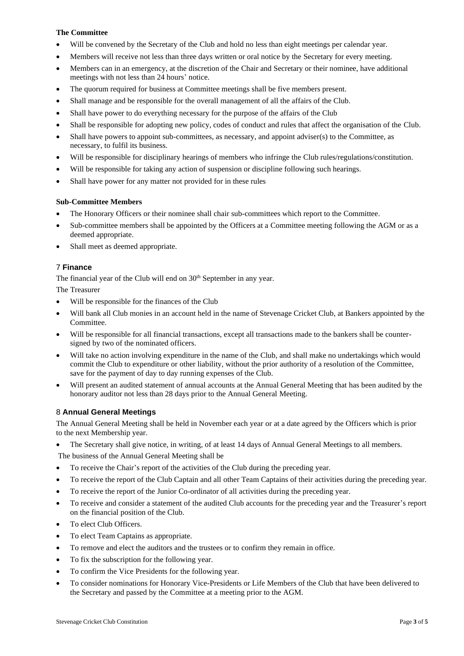## **The Committee**

- Will be convened by the Secretary of the Club and hold no less than eight meetings per calendar year.
- Members will receive not less than three days written or oral notice by the Secretary for every meeting.
- Members can in an emergency, at the discretion of the Chair and Secretary or their nominee, have additional meetings with not less than 24 hours' notice.
- The quorum required for business at Committee meetings shall be five members present.
- Shall manage and be responsible for the overall management of all the affairs of the Club.
- Shall have power to do everything necessary for the purpose of the affairs of the Club
- Shall be responsible for adopting new policy, codes of conduct and rules that affect the organisation of the Club.
- Shall have powers to appoint sub-committees, as necessary, and appoint adviser(s) to the Committee, as necessary, to fulfil its business.
- Will be responsible for disciplinary hearings of members who infringe the Club rules/regulations/constitution.
- Will be responsible for taking any action of suspension or discipline following such hearings.
- Shall have power for any matter not provided for in these rules

#### **Sub-Committee Members**

- The Honorary Officers or their nominee shall chair sub-committees which report to the Committee.
- Sub-committee members shall be appointed by the Officers at a Committee meeting following the AGM or as a deemed appropriate.
- Shall meet as deemed appropriate.

## 7 **Finance**

The financial year of the Club will end on 30<sup>th</sup> September in any year.

The Treasurer

- Will be responsible for the finances of the Club
- Will bank all Club monies in an account held in the name of Stevenage Cricket Club, at Bankers appointed by the Committee.
- Will be responsible for all financial transactions, except all transactions made to the bankers shall be countersigned by two of the nominated officers.
- Will take no action involving expenditure in the name of the Club, and shall make no undertakings which would commit the Club to expenditure or other liability, without the prior authority of a resolution of the Committee, save for the payment of day to day running expenses of the Club.
- Will present an audited statement of annual accounts at the Annual General Meeting that has been audited by the honorary auditor not less than 28 days prior to the Annual General Meeting.

# 8 **Annual General Meetings**

The Annual General Meeting shall be held in November each year or at a date agreed by the Officers which is prior to the next Membership year.

• The Secretary shall give notice, in writing, of at least 14 days of Annual General Meetings to all members.

The business of the Annual General Meeting shall be

- To receive the Chair's report of the activities of the Club during the preceding year.
- To receive the report of the Club Captain and all other Team Captains of their activities during the preceding year.
- To receive the report of the Junior Co-ordinator of all activities during the preceding year.
- To receive and consider a statement of the audited Club accounts for the preceding year and the Treasurer's report on the financial position of the Club.
- To elect Club Officers.
- To elect Team Captains as appropriate.
- To remove and elect the auditors and the trustees or to confirm they remain in office.
- To fix the subscription for the following year.
- To confirm the Vice Presidents for the following year.
- To consider nominations for Honorary Vice-Presidents or Life Members of the Club that have been delivered to the Secretary and passed by the Committee at a meeting prior to the AGM.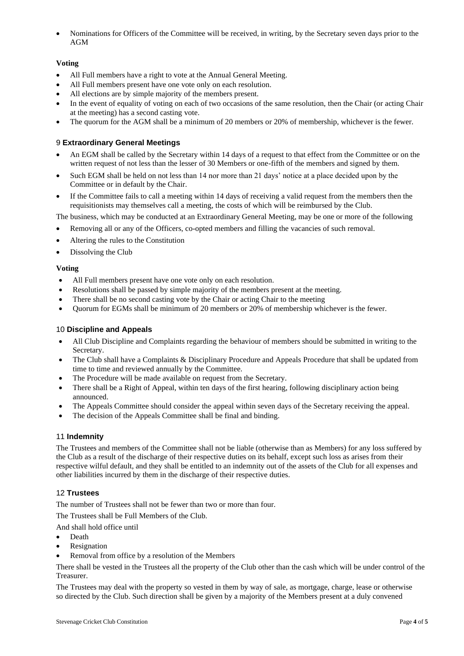• Nominations for Officers of the Committee will be received, in writing, by the Secretary seven days prior to the AGM

# **Voting**

- All Full members have a right to vote at the Annual General Meeting.
- All Full members present have one vote only on each resolution.
- All elections are by simple majority of the members present.
- In the event of equality of voting on each of two occasions of the same resolution, then the Chair (or acting Chair at the meeting) has a second casting vote.
- The quorum for the AGM shall be a minimum of 20 members or 20% of membership, whichever is the fewer.

# 9 **Extraordinary General Meetings**

- An EGM shall be called by the Secretary within 14 days of a request to that effect from the Committee or on the written request of not less than the lesser of 30 Members or one-fifth of the members and signed by them.
- Such EGM shall be held on not less than 14 nor more than 21 days' notice at a place decided upon by the Committee or in default by the Chair.
- If the Committee fails to call a meeting within 14 days of receiving a valid request from the members then the requisitionists may themselves call a meeting, the costs of which will be reimbursed by the Club.
- The business, which may be conducted at an Extraordinary General Meeting, may be one or more of the following
- Removing all or any of the Officers, co-opted members and filling the vacancies of such removal.
- Altering the rules to the Constitution
- Dissolving the Club

#### **Voting**

- All Full members present have one vote only on each resolution.
- Resolutions shall be passed by simple majority of the members present at the meeting.
- There shall be no second casting vote by the Chair or acting Chair to the meeting
- Quorum for EGMs shall be minimum of 20 members or 20% of membership whichever is the fewer.

## 10 **Discipline and Appeals**

- All Club Discipline and Complaints regarding the behaviour of members should be submitted in writing to the Secretary.
- The Club shall have a Complaints & Disciplinary Procedure and Appeals Procedure that shall be updated from time to time and reviewed annually by the Committee.
- The Procedure will be made available on request from the Secretary.
- There shall be a Right of Appeal, within ten days of the first hearing, following disciplinary action being announced.
- The Appeals Committee should consider the appeal within seven days of the Secretary receiving the appeal.
- The decision of the Appeals Committee shall be final and binding.

# 11 **Indemnity**

The Trustees and members of the Committee shall not be liable (otherwise than as Members) for any loss suffered by the Club as a result of the discharge of their respective duties on its behalf, except such loss as arises from their respective wilful default, and they shall be entitled to an indemnity out of the assets of the Club for all expenses and other liabilities incurred by them in the discharge of their respective duties.

# 12 **Trustees**

The number of Trustees shall not be fewer than two or more than four.

The Trustees shall be Full Members of the Club.

And shall hold office until

- Death
- **Resignation**
- Removal from office by a resolution of the Members

There shall be vested in the Trustees all the property of the Club other than the cash which will be under control of the Treasurer.

The Trustees may deal with the property so vested in them by way of sale, as mortgage, charge, lease or otherwise so directed by the Club. Such direction shall be given by a majority of the Members present at a duly convened